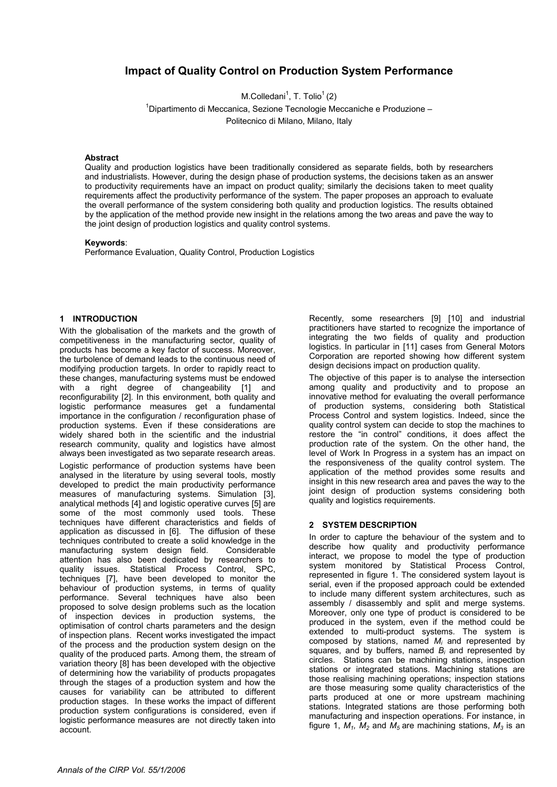# **Impact of Quality Control on Production System Performance**

M.Colledani<sup>1</sup>, T. Tolio<sup>1</sup> (2)<br><sup>1</sup> Dipartimente di Messanice, Sezione Tecnologie Me

 $1$ Dipartimento di Meccanica, Sezione Tecnologie Meccaniche e Produzione –

Politecnico di Milano, Milano, Italy

#### **Abstract**

Quality and production logistics have been traditionally considered as separate fields, both by researchers and industrialists. However, during the design phase of production systems, the decisions taken as an answer to productivity requirements have an impact on product quality; similarly the decisions taken to meet quality requirements affect the productivity performance of the system. The paper proposes an approach to evaluate the overall performance of the system considering both quality and production logistics. The results obtained by the application of the method provide new insight in the relations among the two areas and pave the way to the joint design of production logistics and quality control systems.

### **Keywords**:

Performance Evaluation, Quality Control, Production Logistics

# **1 INTRODUCTION**

With the globalisation of the markets and the growth of competitiveness in the manufacturing sector, quality of products has become a key factor of success. Moreover, the turbolence of demand leads to the continuous need of modifying production targets. In order to rapidly react to these changes, manufacturing systems must be endowed with a right degree of changeability [1] and reconfigurability [2]. In this environment, both quality and logistic performance measures get a fundamental importance in the configuration / reconfiguration phase of production systems. Even if these considerations are widely shared both in the scientific and the industrial research community, quality and logistics have almost always been investigated as two separate research areas.

Logistic performance of production systems have been analysed in the literature by using several tools, mostly developed to predict the main productivity performance measures of manufacturing systems. Simulation [3], analytical methods [4] and logistic operative curves [5] are some of the most commonly used tools. These techniques have different characteristics and fields of application as discussed in [6]. The diffusion of these techniques contributed to create a solid knowledge in the manufacturing system design field. Considerable attention has also been dedicated by researchers to quality issues. Statistical Process Control, SPC, techniques [7], have been developed to monitor the behaviour of production systems, in terms of quality performance. Several techniques have also been proposed to solve design problems such as the location of inspection devices in production systems, the optimisation of control charts parameters and the design of inspection plans. Recent works investigated the impact of the process and the production system design on the quality of the produced parts. Among them, the stream of variation theory [8] has been developed with the objective of determining how the variability of products propagates through the stages of a production system and how the causes for variability can be attributed to different production stages. In these works the impact of different production system configurations is considered, even if logistic performance measures are not directly taken into account.

Recently, some researchers [9] [10] and industrial practitioners have started to recognize the importance of integrating the two fields of quality and production logistics. In particular in [11] cases from General Motors Corporation are reported showing how different system design decisions impact on production quality.

The objective of this paper is to analyse the intersection among quality and productivity and to propose an innovative method for evaluating the overall performance of production systems, considering both Statistical Process Control and system logistics. Indeed, since the quality control system can decide to stop the machines to restore the "in control" conditions, it does affect the production rate of the system. On the other hand, the level of Work In Progress in a system has an impact on the responsiveness of the quality control system. The application of the method provides some results and insight in this new research area and paves the way to the joint design of production systems considering both quality and logistics requirements.

# **2 SYSTEM DESCRIPTION**

In order to capture the behaviour of the system and to describe how quality and productivity performance interact, we propose to model the type of production system monitored by Statistical Process Control, represented in figure 1. The considered system layout is serial, even if the proposed approach could be extended to include many different system architectures, such as assembly / disassembly and split and merge systems. Moreover, only one type of product is considered to be produced in the system, even if the method could be extended to multi-product systems. The system is composed by stations, named  $M_i$  and represented by squares, and by buffers, named  $B_i$  and represented by circles. Stations can be machining stations, inspection stations or integrated stations. Machining stations are those realising machining operations; inspection stations are those measuring some quality characteristics of the parts produced at one or more upstream machining stations. Integrated stations are those performing both manufacturing and inspection operations. For instance, in figure 1,  $M_1$ ,  $M_2$  and  $M_5$  are machining stations,  $M_3$  is an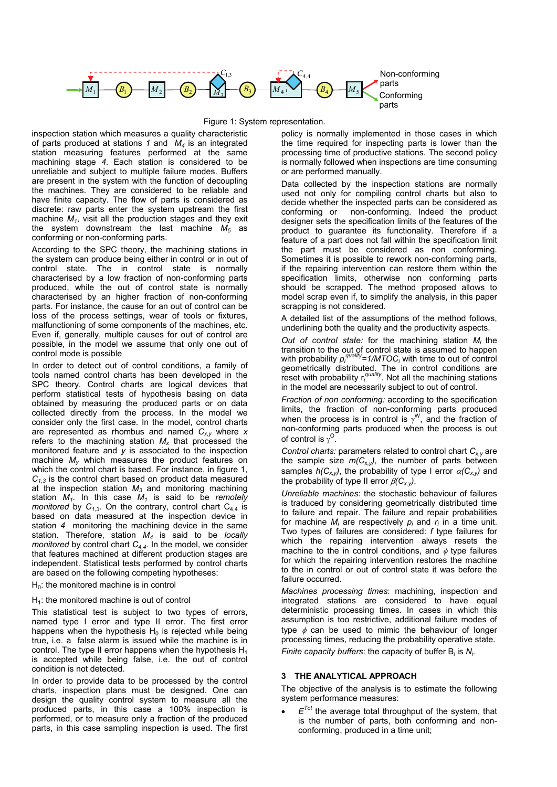

Figure 1: System representation.

inspection station which measures a quality characteristic of parts produced at stations *1* and *M4* is an integrated station measuring features performed at the same machining stage *4*. Each station is considered to be unreliable and subject to multiple failure modes. Buffers are present in the system with the function of decoupling the machines. They are considered to be reliable and have finite capacity. The flow of parts is considered as discrete: raw parts enter the system upstream the first machine  $M_1$ , visit all the production stages and they exit the system downstream the last machine  $M_5$  as conforming or non-conforming parts.

According to the SPC theory, the machining stations in the system can produce being either in control or in out of control state. The in control state is normally characterised by a low fraction of non-conforming parts produced, while the out of control state is normally characterised by an higher fraction of non-conforming parts. For instance, the cause for an out of control can be loss of the process settings, wear of tools or fixtures, malfunctioning of some components of the machines, etc. Even if, generally, multiple causes for out of control are possible, in the model we assume that only one out of control mode is possible.

In order to detect out of control conditions, a family of tools named control charts has been developed in the SPC theory. Control charts are logical devices that perform statistical tests of hypothesis basing on data obtained by measuring the produced parts or on data collected directly from the process. In the model we consider only the first case. In the model, control charts are represented as rhombus and named  $C_{x,y}$  where  $x$ refers to the machining station *Mx* that processed the monitored feature and *y* is associated to the inspection machine *My* which measures the product features on which the control chart is based. For instance, in figure 1, *C1,3* is the control chart based on product data measured at the inspection station  $M_3$  and monitoring machining station  $M_1$ . In this case  $M_1$  is said to be *remotely monitored* by  $C_{1,3}$ . On the contrary, control chart  $C_{4,4}$  is based on data measured at the inspection device in station *4* monitoring the machining device in the same station. Therefore, station *M4* is said to be *locally monitored* by control chart *C4,4*. In the model, we consider that features machined at different production stages are independent. Statistical tests performed by control charts are based on the following competing hypotheses:

 $H_0$ : the monitored machine is in control

#### $H_1$ : the monitored machine is out of control

This statistical test is subject to two types of errors, named type I error and type II error. The first error happens when the hypothesis  $H_0$  is rejected while being true, i.e. a false alarm is issued while the machine is in control. The type II error happens when the hypothesis  $H_1$ is accepted while being false, i.e. the out of control condition is not detected.

In order to provide data to be processed by the control charts, inspection plans must be designed. One can design the quality control system to measure all the produced parts, in this case a 100% inspection is performed, or to measure only a fraction of the produced parts, in this case sampling inspection is used. The first policy is normally implemented in those cases in which the time required for inspecting parts is lower than the processing time of productive stations. The second policy is normally followed when inspections are time consuming or are performed manually.

Data collected by the inspection stations are normally used not only for compiling control charts but also to decide whether the inspected parts can be considered as conforming or non-conforming. Indeed the product designer sets the specification limits of the features of the product to guarantee its functionality. Therefore if a feature of a part does not fall within the specification limit the part must be considered as non conforming. Sometimes it is possible to rework non-conforming parts, if the repairing intervention can restore them within the specification limits, otherwise non conforming parts should be scrapped. The method proposed allows to model scrap even if, to simplify the analysis, in this paper scrapping is not considered.

A detailed list of the assumptions of the method follows, underlining both the quality and the productivity aspects.

*Out of control state:* for the machining station *Mi* the transition to the out of control state is assumed to happen with probability  $p_i^{quality} = 1/MTOC_i$  with time to out of control geometrically distributed. The in control conditions are reset with probability r<sub>i</sub><sup>quality</sup>. Not all the machining stations in the model are necessarily subject to out of control.

*Fraction of non conforming:* according to the specification limits, the fraction of non-conforming parts produced when the process is in control is  $\gamma^W$ , and the fraction of non-conforming parts produced when the process is out of control is  $\gamma^0$ .

*Control charts:* parameters related to control chart *Cx,y* are the sample size  $m(C_{x,y})$ , the number of parts between samples  $h(C_{x,y})$ , the probability of type I error  $\alpha(C_{x,y})$  and the probability of type II error β*(Cx,y)*.

*Unreliable machines*: the stochastic behaviour of failures is traduced by considering geometrically distributed time to failure and repair. The failure and repair probabilities for machine  $M_i$  are respectively  $p_i$  and  $r_i$  in a time unit. Two types of failures are considered: *f* type failures for which the repairing intervention always resets the machine to the in control conditions, and  $\phi$  type failures for which the repairing intervention restores the machine to the in control or out of control state it was before the failure occurred.

*Machines processing times*: machining, inspection and integrated stations are considered to have equal deterministic processing times. In cases in which this assumption is too restrictive, additional failure modes of type  $\phi$  can be used to mimic the behaviour of longer processing times, reducing the probability operative state.

*Finite capacity buffers: the capacity of buffer*  $B_i$  *is*  $N_i$ *.* 

#### **3 THE ANALYTICAL APPROACH**

The objective of the analysis is to estimate the following system performance measures:

 $E^{Tot}$  the average total throughput of the system, that is the number of parts, both conforming and nonconforming, produced in a time unit;